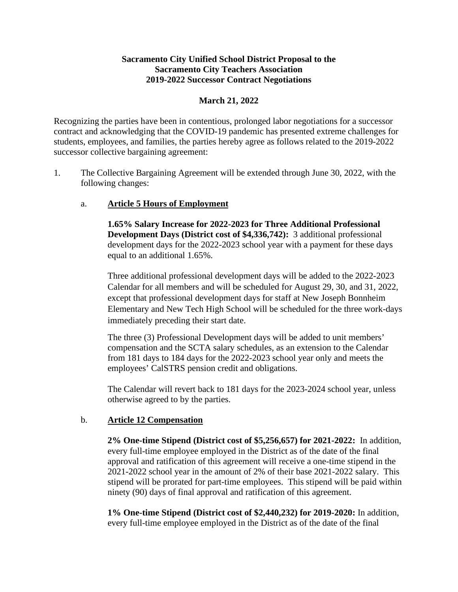### **Sacramento City Unified School District Proposal to the Sacramento City Teachers Association 2019-2022 Successor Contract Negotiations**

### **March 21, 2022**

Recognizing the parties have been in contentious, prolonged labor negotiations for a successor contract and acknowledging that the COVID-19 pandemic has presented extreme challenges for students, employees, and families, the parties hereby agree as follows related to the 2019-2022 successor collective bargaining agreement:

1. The Collective Bargaining Agreement will be extended through June 30, 2022, with the following changes:

### a. **Article 5 Hours of Employment**

**1.65% Salary Increase for 2022-2023 for Three Additional Professional Development Days (District cost of \$4,336,742):** 3 additional professional development days for the 2022-2023 school year with a payment for these days equal to an additional 1.65%.

Three additional professional development days will be added to the 2022-2023 Calendar for all members and will be scheduled for August 29, 30, and 31, 2022, except that professional development days for staff at New Joseph Bonnheim Elementary and New Tech High School will be scheduled for the three work-days immediately preceding their start date.

The three (3) Professional Development days will be added to unit members' compensation and the SCTA salary schedules, as an extension to the Calendar from 181 days to 184 days for the 2022-2023 school year only and meets the employees' CalSTRS pension credit and obligations.

The Calendar will revert back to 181 days for the 2023-2024 school year, unless otherwise agreed to by the parties.

#### b. **Article 12 Compensation**

**2% One-time Stipend (District cost of \$5,256,657) for 2021-2022:** In addition, every full-time employee employed in the District as of the date of the final approval and ratification of this agreement will receive a one-time stipend in the 2021-2022 school year in the amount of 2% of their base 2021-2022 salary. This stipend will be prorated for part-time employees. This stipend will be paid within ninety (90) days of final approval and ratification of this agreement.

**1% One-time Stipend (District cost of \$2,440,232) for 2019-2020:** In addition, every full-time employee employed in the District as of the date of the final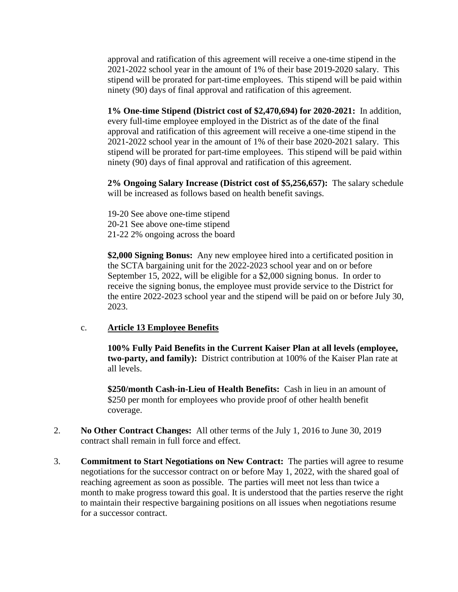approval and ratification of this agreement will receive a one-time stipend in the 2021-2022 school year in the amount of 1% of their base 2019-2020 salary. This stipend will be prorated for part-time employees. This stipend will be paid within ninety (90) days of final approval and ratification of this agreement.

**1% One-time Stipend (District cost of \$2,470,694) for 2020-2021:** In addition, every full-time employee employed in the District as of the date of the final approval and ratification of this agreement will receive a one-time stipend in the 2021-2022 school year in the amount of 1% of their base 2020-2021 salary. This stipend will be prorated for part-time employees. This stipend will be paid within ninety (90) days of final approval and ratification of this agreement.

**2% Ongoing Salary Increase (District cost of \$5,256,657):** The salary schedule will be increased as follows based on health benefit savings.

19-20 See above one-time stipend 20-21 See above one-time stipend 21-22 2% ongoing across the board

**\$2,000 Signing Bonus:** Any new employee hired into a certificated position in the SCTA bargaining unit for the 2022-2023 school year and on or before September 15, 2022, will be eligible for a \$2,000 signing bonus. In order to receive the signing bonus, the employee must provide service to the District for the entire 2022-2023 school year and the stipend will be paid on or before July 30, 2023.

# c. **Article 13 Employee Benefits**

**100% Fully Paid Benefits in the Current Kaiser Plan at all levels (employee, two-party, and family):** District contribution at 100% of the Kaiser Plan rate at all levels.

**\$250/month Cash-in-Lieu of Health Benefits:** Cash in lieu in an amount of \$250 per month for employees who provide proof of other health benefit coverage.

- 2. **No Other Contract Changes:** All other terms of the July 1, 2016 to June 30, 2019 contract shall remain in full force and effect.
- 3. **Commitment to Start Negotiations on New Contract:** The parties will agree to resume negotiations for the successor contract on or before May 1, 2022, with the shared goal of reaching agreement as soon as possible. The parties will meet not less than twice a month to make progress toward this goal. It is understood that the parties reserve the right to maintain their respective bargaining positions on all issues when negotiations resume for a successor contract.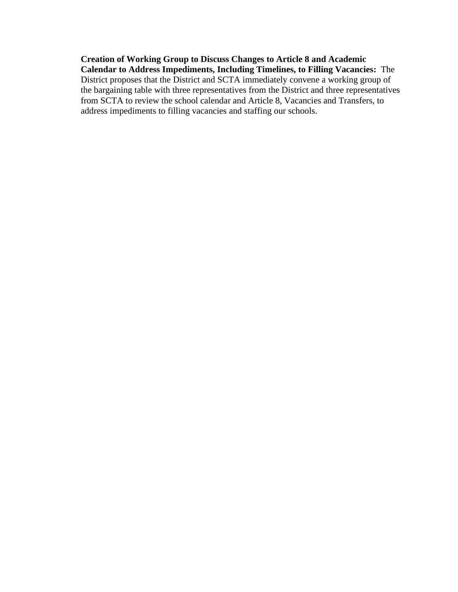**Creation of Working Group to Discuss Changes to Article 8 and Academic Calendar to Address Impediments, Including Timelines, to Filling Vacancies:** The District proposes that the District and SCTA immediately convene a working group of the bargaining table with three representatives from the District and three representatives from SCTA to review the school calendar and Article 8, Vacancies and Transfers, to address impediments to filling vacancies and staffing our schools.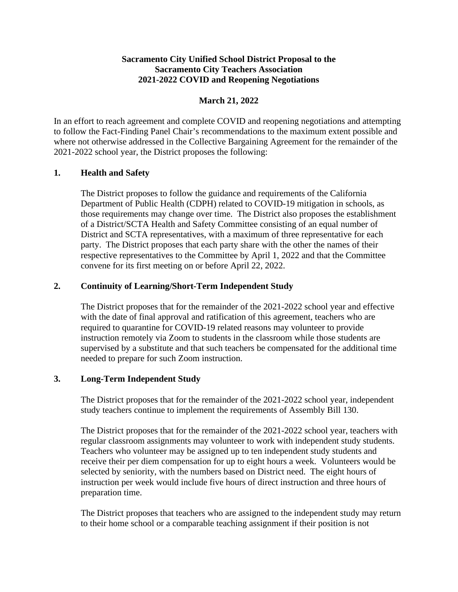# **Sacramento City Unified School District Proposal to the Sacramento City Teachers Association 2021-2022 COVID and Reopening Negotiations**

# **March 21, 2022**

In an effort to reach agreement and complete COVID and reopening negotiations and attempting to follow the Fact-Finding Panel Chair's recommendations to the maximum extent possible and where not otherwise addressed in the Collective Bargaining Agreement for the remainder of the 2021-2022 school year, the District proposes the following:

### **1. Health and Safety**

The District proposes to follow the guidance and requirements of the California Department of Public Health (CDPH) related to COVID-19 mitigation in schools, as those requirements may change over time. The District also proposes the establishment of a District/SCTA Health and Safety Committee consisting of an equal number of District and SCTA representatives, with a maximum of three representative for each party. The District proposes that each party share with the other the names of their respective representatives to the Committee by April 1, 2022 and that the Committee convene for its first meeting on or before April 22, 2022.

### **2. Continuity of Learning/Short-Term Independent Study**

The District proposes that for the remainder of the 2021-2022 school year and effective with the date of final approval and ratification of this agreement, teachers who are required to quarantine for COVID-19 related reasons may volunteer to provide instruction remotely via Zoom to students in the classroom while those students are supervised by a substitute and that such teachers be compensated for the additional time needed to prepare for such Zoom instruction.

# **3. Long-Term Independent Study**

The District proposes that for the remainder of the 2021-2022 school year, independent study teachers continue to implement the requirements of Assembly Bill 130.

The District proposes that for the remainder of the 2021-2022 school year, teachers with regular classroom assignments may volunteer to work with independent study students. Teachers who volunteer may be assigned up to ten independent study students and receive their per diem compensation for up to eight hours a week. Volunteers would be selected by seniority, with the numbers based on District need. The eight hours of instruction per week would include five hours of direct instruction and three hours of preparation time.

The District proposes that teachers who are assigned to the independent study may return to their home school or a comparable teaching assignment if their position is not